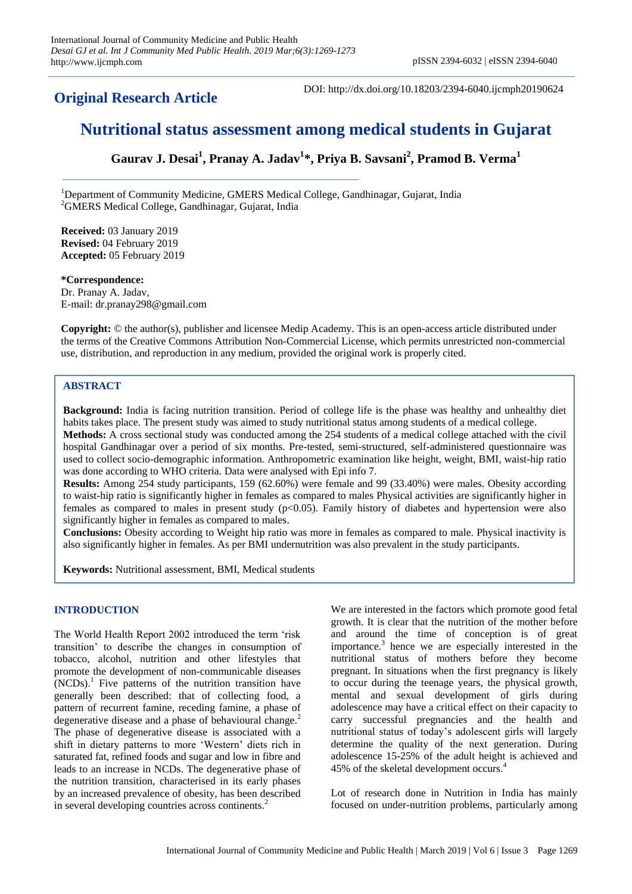**Original Research Article**

DOI: http://dx.doi.org/10.18203/2394-6040.ijcmph20190624

# **Nutritional status assessment among medical students in Gujarat**

**Gaurav J. Desai<sup>1</sup> , Pranay A. Jadav<sup>1</sup> \*, Priya B. Savsani<sup>2</sup> , Pramod B. Verma<sup>1</sup>**

<sup>1</sup>Department of Community Medicine, GMERS Medical College, Gandhinagar, Gujarat, India <sup>2</sup>GMERS Medical College, Gandhinagar, Gujarat, India

**Received:** 03 January 2019 **Revised:** 04 February 2019 **Accepted:** 05 February 2019

#### **\*Correspondence:**

Dr. Pranay A. Jadav, E-mail: dr.pranay298@gmail.com

**Copyright:** © the author(s), publisher and licensee Medip Academy. This is an open-access article distributed under the terms of the Creative Commons Attribution Non-Commercial License, which permits unrestricted non-commercial use, distribution, and reproduction in any medium, provided the original work is properly cited.

# **ABSTRACT**

**Background:** India is facing nutrition transition. Period of college life is the phase was healthy and unhealthy diet habits takes place. The present study was aimed to study nutritional status among students of a medical college. **Methods:** A cross sectional study was conducted among the 254 students of a medical college attached with the civil hospital Gandhinagar over a period of six months. Pre-tested, semi-structured, self-administered questionnaire was

used to collect socio-demographic information. Anthropometric examination like height, weight, BMI, waist-hip ratio was done according to WHO criteria. Data were analysed with Epi info 7. **Results:** Among 254 study participants, 159 (62.60%) were female and 99 (33.40%) were males. Obesity according

to waist-hip ratio is significantly higher in females as compared to males Physical activities are significantly higher in females as compared to males in present study (p<0.05). Family history of diabetes and hypertension were also significantly higher in females as compared to males.

**Conclusions:** Obesity according to Weight hip ratio was more in females as compared to male. Physical inactivity is also significantly higher in females. As per BMI undernutrition was also prevalent in the study participants.

**Keywords:** Nutritional assessment, BMI, Medical students

## **INTRODUCTION**

The World Health Report 2002 introduced the term 'risk transition' to describe the changes in consumption of tobacco, alcohol, nutrition and other lifestyles that promote the development of non-communicable diseases  $(NCDs)$ .<sup>1</sup> Five patterns of the nutrition transition have generally been described: that of collecting food, a pattern of recurrent famine, receding famine, a phase of degenerative disease and a phase of behavioural change.<sup>2</sup> The phase of degenerative disease is associated with a shift in dietary patterns to more 'Western' diets rich in saturated fat, refined foods and sugar and low in fibre and leads to an increase in NCDs. The degenerative phase of the nutrition transition, characterised in its early phases by an increased prevalence of obesity, has been described in several developing countries across continents.<sup>2</sup>

We are interested in the factors which promote good fetal growth. It is clear that the nutrition of the mother before and around the time of conception is of great importance.<sup>3</sup> hence we are especially interested in the nutritional status of mothers before they become pregnant. In situations when the first pregnancy is likely to occur during the teenage years, the physical growth, mental and sexual development of girls during adolescence may have a critical effect on their capacity to carry successful pregnancies and the health and nutritional status of today's adolescent girls will largely determine the quality of the next generation. During adolescence 15-25% of the adult height is achieved and 45% of the skeletal development occurs.<sup>4</sup>

Lot of research done in Nutrition in India has mainly focused on under-nutrition problems, particularly among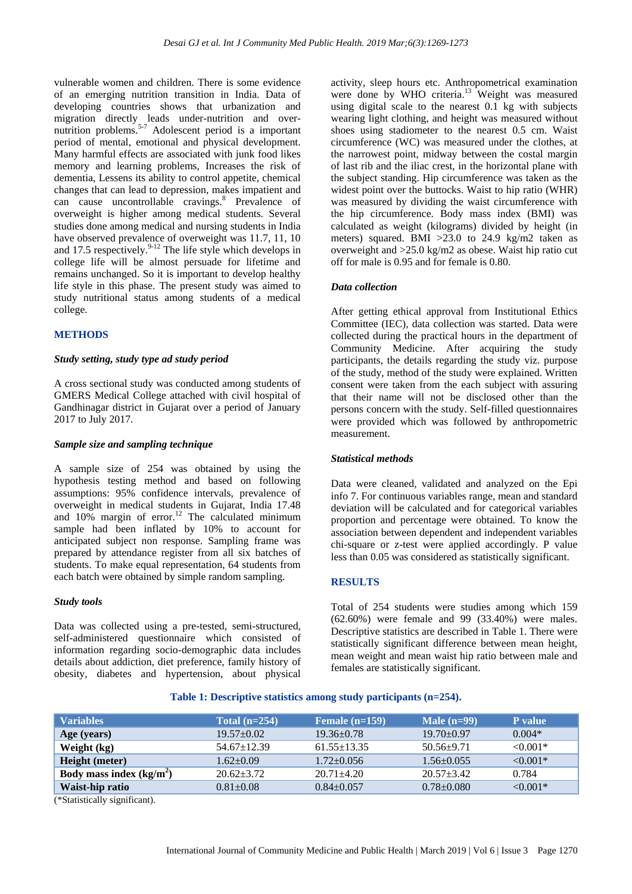vulnerable women and children. There is some evidence of an emerging nutrition transition in India. Data of developing countries shows that urbanization and migration directly leads under-nutrition and overnutrition problems.<sup>5-7</sup> Adolescent period is a important period of mental, emotional and physical development. Many harmful effects are associated with junk food likes memory and learning problems, Increases the risk of dementia, Lessens its ability to control appetite, chemical changes that can lead to depression, makes impatient and can cause uncontrollable cravings.<sup>8</sup> Prevalence of overweight is higher among medical students. Several studies done among medical and nursing students in India have observed prevalence of overweight was 11.7, 11, 10 and 17.5 respectively. $9-12$  The life style which develops in college life will be almost persuade for lifetime and remains unchanged. So it is important to develop healthy life style in this phase. The present study was aimed to study nutritional status among students of a medical college.

## **METHODS**

#### *Study setting, study type ad study period*

A cross sectional study was conducted among students of GMERS Medical College attached with civil hospital of Gandhinagar district in Gujarat over a period of January 2017 to July 2017.

#### *Sample size and sampling technique*

A sample size of 254 was obtained by using the hypothesis testing method and based on following assumptions: 95% confidence intervals, prevalence of overweight in medical students in Gujarat, India 17.48 and  $10\%$  margin of error.<sup>12</sup> The calculated minimum sample had been inflated by 10% to account for anticipated subject non response. Sampling frame was prepared by attendance register from all six batches of students. To make equal representation, 64 students from each batch were obtained by simple random sampling.

#### *Study tools*

Data was collected using a pre-tested, semi-structured, self-administered questionnaire which consisted of information regarding socio-demographic data includes details about addiction, diet preference, family history of obesity, diabetes and hypertension, about physical activity, sleep hours etc. Anthropometrical examination were done by WHO criteria. <sup>13</sup> Weight was measured using digital scale to the nearest 0.1 kg with subjects wearing light clothing, and height was measured without shoes using stadiometer to the nearest 0.5 cm. Waist circumference (WC) was measured under the clothes, at the narrowest point, midway between the costal margin of last rib and the iliac crest, in the horizontal plane with the subject standing. Hip circumference was taken as the widest point over the buttocks. Waist to hip ratio (WHR) was measured by dividing the waist circumference with the hip circumference. Body mass index (BMI) was calculated as weight (kilograms) divided by height (in meters) squared. BMI >23.0 to 24.9 kg/m2 taken as overweight and >25.0 kg/m2 as obese. Waist hip ratio cut off for male is 0.95 and for female is 0.80.

## *Data collection*

After getting ethical approval from Institutional Ethics Committee (IEC), data collection was started. Data were collected during the practical hours in the department of Community Medicine. After acquiring the study participants, the details regarding the study viz. purpose of the study, method of the study were explained. Written consent were taken from the each subject with assuring that their name will not be disclosed other than the persons concern with the study. Self-filled questionnaires were provided which was followed by anthropometric measurement.

## *Statistical methods*

Data were cleaned, validated and analyzed on the Epi info 7. For continuous variables range, mean and standard deviation will be calculated and for categorical variables proportion and percentage were obtained. To know the association between dependent and independent variables chi-square or z-test were applied accordingly. P value less than 0.05 was considered as statistically significant.

## **RESULTS**

Total of 254 students were studies among which 159 (62.60%) were female and 99 (33.40%) were males. Descriptive statistics are described in Table 1. There were statistically significant difference between mean height, mean weight and mean waist hip ratio between male and females are statistically significant.

## **Table 1: Descriptive statistics among study participants (n=254).**

| <b>Variables</b>          | Total $(n=254)$   | Female $(n=159)$  | Male $(n=99)$    | P value    |
|---------------------------|-------------------|-------------------|------------------|------------|
| Age (years)               | $19.57 \pm 0.02$  | $19.36 \pm 0.78$  | $19.70 \pm 0.97$ | $0.004*$   |
| Weight (kg)               | $54.67 \pm 12.39$ | $61.55 \pm 13.35$ | $50.56 \pm 9.71$ | $< 0.001*$ |
| Height (meter)            | $1.62 \pm 0.09$   | $1.72 \pm 0.056$  | $1.56 \pm 0.055$ | $< 0.001*$ |
| Body mass index $(kg/m2)$ | $20.62+3.72$      | $20.71 + 4.20$    | $20.57 + 3.42$   | 0.784      |
| Waist-hip ratio           | $0.81 \pm 0.08$   | $0.84 \pm 0.057$  | $0.78 \pm 0.080$ | $< 0.001*$ |

(\*Statistically significant).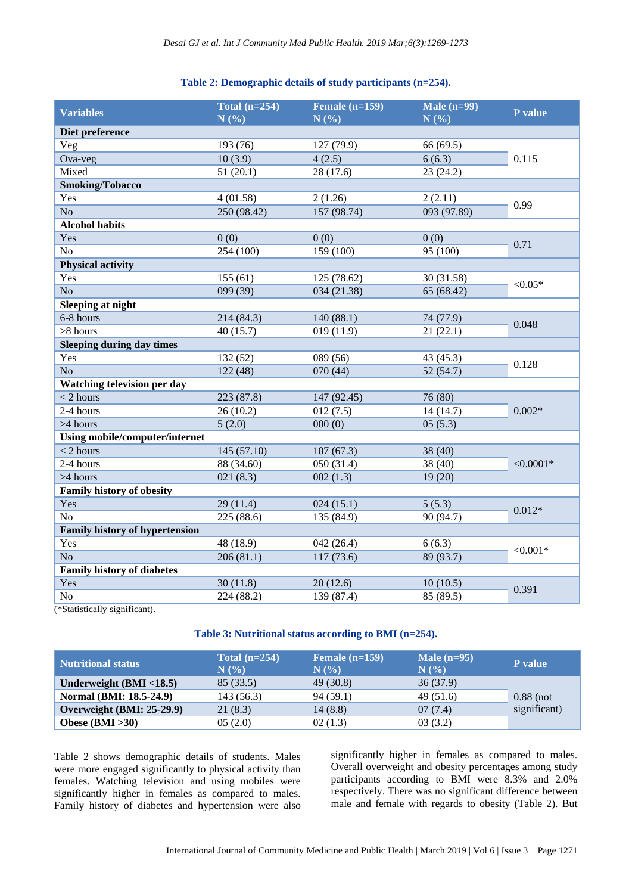## **Table 2: Demographic details of study participants (n=254).**

| <b>Variables</b>                                                                           | Total $(n=254)$<br>N(%) | Female $(n=159)$<br>N(%) | Male $(n=99)$<br>N(%) | P value     |
|--------------------------------------------------------------------------------------------|-------------------------|--------------------------|-----------------------|-------------|
| Diet preference                                                                            |                         |                          |                       |             |
| Veg                                                                                        | 193 (76)                | 127(79.9)                | 66 (69.5)             | 0.115       |
| Ova-veg                                                                                    | 10(3.9)                 | 4(2.5)                   | 6(6.3)                |             |
| Mixed                                                                                      | 51(20.1)                | 28 (17.6)                | 23(24.2)              |             |
| <b>Smoking/Tobacco</b>                                                                     |                         |                          |                       |             |
| Yes                                                                                        | 4(01.58)                | 2(1.26)                  | 2(2.11)               | 0.99        |
| No                                                                                         | 250 (98.42)             | 157 (98.74)              | 093 (97.89)           |             |
| <b>Alcohol habits</b>                                                                      |                         |                          |                       |             |
| Yes                                                                                        | 0(0)                    | 0(0)                     | 0(0)                  | 0.71        |
| N <sub>o</sub>                                                                             | 254 (100)               | 159 (100)                | 95 (100)              |             |
| <b>Physical activity</b>                                                                   |                         |                          |                       |             |
| Yes                                                                                        | 155(61)                 | 125 (78.62)              | 30 (31.58)            | ${<}0.05*$  |
| N <sub>o</sub>                                                                             | 099 (39)                | 034 (21.38)              | 65 (68.42)            |             |
| <b>Sleeping at night</b>                                                                   |                         |                          |                       |             |
| 6-8 hours                                                                                  | 214 (84.3)              | 140(88.1)                | 74 (77.9)             | 0.048       |
| $>8$ hours                                                                                 | 40(15.7)                | 019(11.9)                | 21(22.1)              |             |
| <b>Sleeping during day times</b>                                                           |                         |                          |                       |             |
| Yes                                                                                        | 132 (52)                | 089 (56)                 | 43 (45.3)             |             |
| No                                                                                         | 122(48)                 | 070(44)                  | 52(54.7)              | 0.128       |
| <b>Watching television per day</b>                                                         |                         |                          |                       |             |
| $<$ 2 hours                                                                                | 223 (87.8)              | 147 (92.45)              | 76 (80)               |             |
| 2-4 hours                                                                                  | 26(10.2)                | 012(7.5)                 | 14(14.7)              | $0.002*$    |
| >4 hours                                                                                   | 5(2.0)                  | 000(0)                   | 05(5.3)               |             |
| <b>Using mobile/computer/internet</b>                                                      |                         |                          |                       |             |
| $<$ 2 hours                                                                                | 145 (57.10)             | 107(67.3)                | 38 (40)               | $< 0.0001*$ |
| 2-4 hours                                                                                  | 88 (34.60)              | 050 (31.4)               | 38 (40)               |             |
| >4 hours                                                                                   | 021(8.3)                | 002(1.3)                 | 19(20)                |             |
| <b>Family history of obesity</b>                                                           |                         |                          |                       |             |
| Yes                                                                                        | 29(11.4)                | 024(15.1)                | 5(5.3)                | $0.012*$    |
| N <sub>o</sub>                                                                             | 225(88.6)               | 135 (84.9)               | 90 (94.7)             |             |
| <b>Family history of hypertension</b>                                                      |                         |                          |                       |             |
| Yes                                                                                        | 48 (18.9)               | 042(26.4)                | 6(6.3)                | $< 0.001*$  |
| N <sub>o</sub>                                                                             | 206(81.1)               | 117(73.6)                | 89 (93.7)             |             |
| <b>Family history of diabetes</b>                                                          |                         |                          |                       |             |
| Yes                                                                                        | 30(11.8)                | 20(12.6)                 | 10(10.5)              | 0.391       |
| N <sub>o</sub>                                                                             | 224 (88.2)              | 139 (87.4)               | 85 (89.5)             |             |
| $\overline{a}$ and $\overline{a}$ and $\overline{a}$ and $\overline{a}$ and $\overline{a}$ |                         |                          |                       |             |

(\*Statistically significant).

# **Table 3: Nutritional status according to BMI (n=254).**

| <b>Nutritional status</b>  | Total $(n=254)$<br>N(% | Female $(n=159)$<br>N(% | Male $(n=95)$<br>N(%) | <b>P</b> value |
|----------------------------|------------------------|-------------------------|-----------------------|----------------|
| Underweight $(BMI < 18.5)$ | 85(33.5)               | 49(30.8)                | 36(37.9)              |                |
| Normal (BMI: 18.5-24.9)    | 143(56.3)              | 94(59.1)                | 49(51.6)              | $0.88$ (not    |
| Overweight (BMI: 25-29.9)  | 21(8.3)                | 14(8.8)                 | 07(7.4)               | significant)   |
| Obese $(BMI > 30)$         | 05(2.0)                | 02(1.3)                 | 03(3.2)               |                |

Table 2 shows demographic details of students. Males were more engaged significantly to physical activity than females. Watching television and using mobiles were significantly higher in females as compared to males. Family history of diabetes and hypertension were also significantly higher in females as compared to males. Overall overweight and obesity percentages among study participants according to BMI were 8.3% and 2.0% respectively. There was no significant difference between male and female with regards to obesity (Table 2). But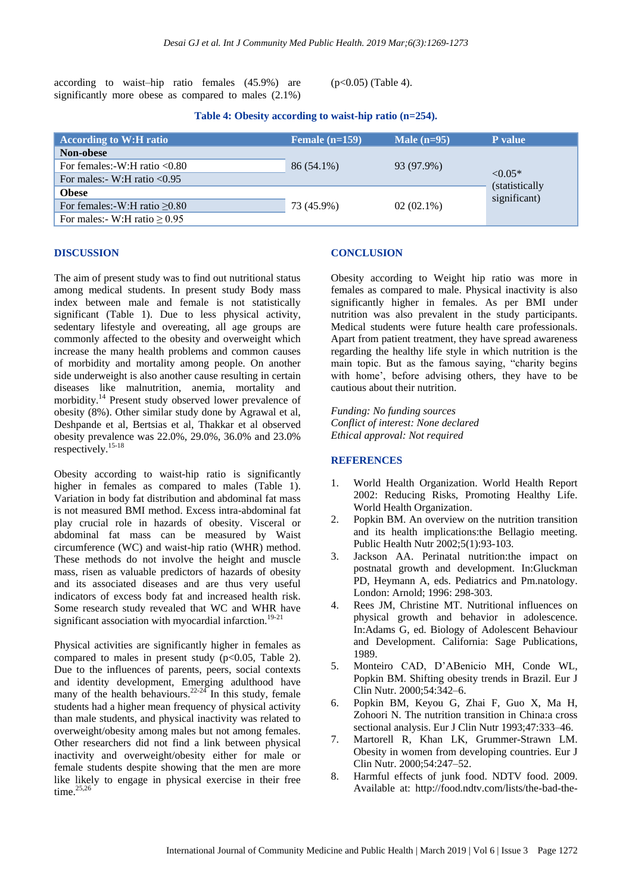according to waist–hip ratio females (45.9%) are significantly more obese as compared to males (2.1%)

(p<0.05) (Table 4).

## **Table 4: Obesity according to waist-hip ratio (n=254).**

| <b>According to W:H ratio</b>      | Female $(n=159)$ | Male $(n=95)$ | P value                                             |
|------------------------------------|------------------|---------------|-----------------------------------------------------|
| Non-obese                          |                  |               |                                                     |
| For females:- $W:H$ ratio $< 0.80$ | 86 (54.1%)       | 93 (97.9%)    | $< 0.05*$<br><i>(statistically)</i><br>significant) |
| For males:- W:H ratio $< 0.95$     |                  |               |                                                     |
| <b>Obese</b>                       |                  |               |                                                     |
| For females:-W:H ratio $\geq 0.80$ | 73 (45.9%)       | $02(02.1\%)$  |                                                     |
| For males:- W:H ratio $\geq 0.95$  |                  |               |                                                     |

#### **DISCUSSION**

The aim of present study was to find out nutritional status among medical students. In present study Body mass index between male and female is not statistically significant (Table 1). Due to less physical activity, sedentary lifestyle and overeating, all age groups are commonly affected to the obesity and overweight which increase the many health problems and common causes of morbidity and mortality among people. On another side underweight is also another cause resulting in certain diseases like malnutrition, anemia, mortality and morbidity.<sup>14</sup> Present study observed lower prevalence of obesity (8%). Other similar study done by Agrawal et al, Deshpande et al, Bertsias et al, Thakkar et al observed obesity prevalence was 22.0%, 29.0%, 36.0% and 23.0% respectively.15-18

Obesity according to waist-hip ratio is significantly higher in females as compared to males (Table 1). Variation in body fat distribution and abdominal fat mass is not measured BMI method. Excess intra-abdominal fat play crucial role in hazards of obesity. Visceral or abdominal fat mass can be measured by Waist circumference (WC) and waist-hip ratio (WHR) method. These methods do not involve the height and muscle mass, risen as valuable predictors of hazards of obesity and its associated diseases and are thus very useful indicators of excess body fat and increased health risk. Some research study revealed that WC and WHR have significant association with myocardial infarction.<sup>19-21</sup>

Physical activities are significantly higher in females as compared to males in present study ( $p<0.05$ , Table 2). Due to the influences of parents, peers, social contexts and identity development, Emerging adulthood have many of the health behaviours.<sup>22-24</sup> In this study, female students had a higher mean frequency of physical activity than male students, and physical inactivity was related to overweight/obesity among males but not among females. Other researchers did not find a link between physical inactivity and overweight/obesity either for male or female students despite showing that the men are more like likely to engage in physical exercise in their free time. $25,26$ 

#### **CONCLUSION**

Obesity according to Weight hip ratio was more in females as compared to male. Physical inactivity is also significantly higher in females. As per BMI under nutrition was also prevalent in the study participants. Medical students were future health care professionals. Apart from patient treatment, they have spread awareness regarding the healthy life style in which nutrition is the main topic. But as the famous saying, "charity begins with home', before advising others, they have to be cautious about their nutrition.

*Funding: No funding sources Conflict of interest: None declared Ethical approval: Not required*

#### **REFERENCES**

- 1. World Health Organization. World Health Report 2002: Reducing Risks, Promoting Healthy Life. World Health Organization.
- 2. Popkin BM. An overview on the nutrition transition and its health implications:the Bellagio meeting. Public Health Nutr 2002;5(1):93-103.
- 3. Jackson AA. Perinatal nutrition:the impact on postnatal growth and development. In:Gluckman PD, Heymann A, eds. Pediatrics and Pm.natology. London: Arnold; 1996: 298-303.
- 4. Rees JM, Christine MT. Nutritional influences on physical growth and behavior in adolescence. In:Adams G, ed. Biology of Adolescent Behaviour and Development. California: Sage Publications, 1989.
- 5. Monteiro CAD, D'ABenicio MH, Conde WL, Popkin BM. Shifting obesity trends in Brazil. Eur J Clin Nutr. 2000;54:342–6.
- 6. Popkin BM, Keyou G, Zhai F, Guo X, Ma H, Zohoori N. The nutrition transition in China:a cross sectional analysis. Eur J Clin Nutr 1993;47:333–46.
- 7. Martorell R, Khan LK, Grummer-Strawn LM. Obesity in women from developing countries. Eur J Clin Nutr. 2000;54:247–52.
- 8. Harmful effects of junk food. NDTV food. 2009. Available at: http://food.ndtv.com/lists/the-bad-the-